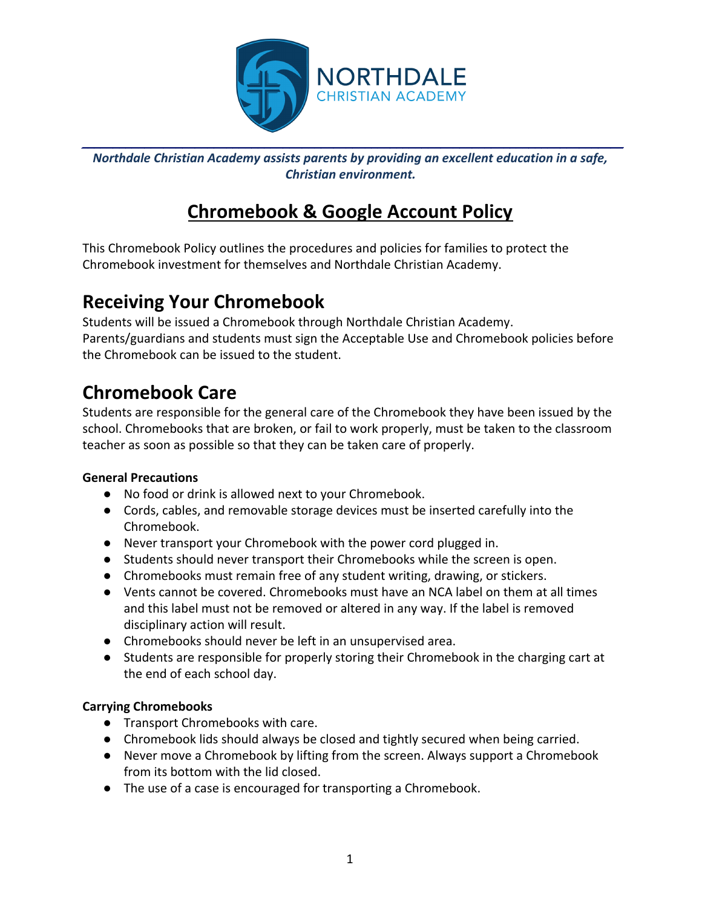

*Northdale Christian Academy assists parents by providing an excellent education in a safe, Christian environment.*

# **Chromebook & Google Account Policy**

This Chromebook Policy outlines the procedures and policies for families to protect the Chromebook investment for themselves and Northdale Christian Academy.

## **Receiving Your Chromebook**

Students will be issued a Chromebook through Northdale Christian Academy. Parents/guardians and students must sign the Acceptable Use and Chromebook policies before the Chromebook can be issued to the student.

# **Chromebook Care**

Students are responsible for the general care of the Chromebook they have been issued by the school. Chromebooks that are broken, or fail to work properly, must be taken to the classroom teacher as soon as possible so that they can be taken care of properly.

### **General Precautions**

- No food or drink is allowed next to your Chromebook.
- Cords, cables, and removable storage devices must be inserted carefully into the Chromebook.
- Never transport your Chromebook with the power cord plugged in.
- Students should never transport their Chromebooks while the screen is open.
- Chromebooks must remain free of any student writing, drawing, or stickers.
- Vents cannot be covered. Chromebooks must have an NCA label on them at all times and this label must not be removed or altered in any way. If the label is removed disciplinary action will result.
- Chromebooks should never be left in an unsupervised area.
- Students are responsible for properly storing their Chromebook in the charging cart at the end of each school day.

### **Carrying Chromebooks**

- Transport Chromebooks with care.
- Chromebook lids should always be closed and tightly secured when being carried.
- Never move a Chromebook by lifting from the screen. Always support a Chromebook from its bottom with the lid closed.
- The use of a case is encouraged for transporting a Chromebook.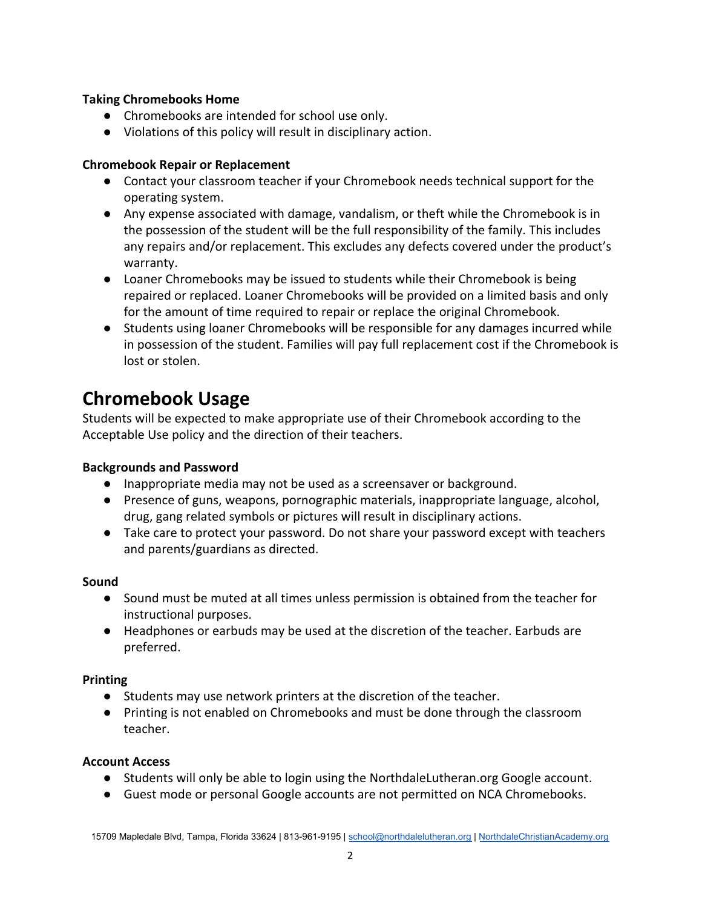#### **Taking Chromebooks Home**

- Chromebooks are intended for school use only.
- Violations of this policy will result in disciplinary action.

#### **Chromebook Repair or Replacement**

- Contact your classroom teacher if your Chromebook needs technical support for the operating system.
- Any expense associated with damage, vandalism, or theft while the Chromebook is in the possession of the student will be the full responsibility of the family. This includes any repairs and/or replacement. This excludes any defects covered under the product's warranty.
- Loaner Chromebooks may be issued to students while their Chromebook is being repaired or replaced. Loaner Chromebooks will be provided on a limited basis and only for the amount of time required to repair or replace the original Chromebook.
- Students using loaner Chromebooks will be responsible for any damages incurred while in possession of the student. Families will pay full replacement cost if the Chromebook is lost or stolen.

## **Chromebook Usage**

Students will be expected to make appropriate use of their Chromebook according to the Acceptable Use policy and the direction of their teachers.

#### **Backgrounds and Password**

- Inappropriate media may not be used as a screensaver or background.
- Presence of guns, weapons, pornographic materials, inappropriate language, alcohol, drug, gang related symbols or pictures will result in disciplinary actions.
- Take care to protect your password. Do not share your password except with teachers and parents/guardians as directed.

#### **Sound**

- Sound must be muted at all times unless permission is obtained from the teacher for instructional purposes.
- Headphones or earbuds may be used at the discretion of the teacher. Earbuds are preferred.

#### **Printing**

- Students may use network printers at the discretion of the teacher.
- Printing is not enabled on Chromebooks and must be done through the classroom teacher.

#### **Account Access**

- Students will only be able to login using the NorthdaleLutheran.org Google account.
- Guest mode or personal Google accounts are not permitted on NCA Chromebooks.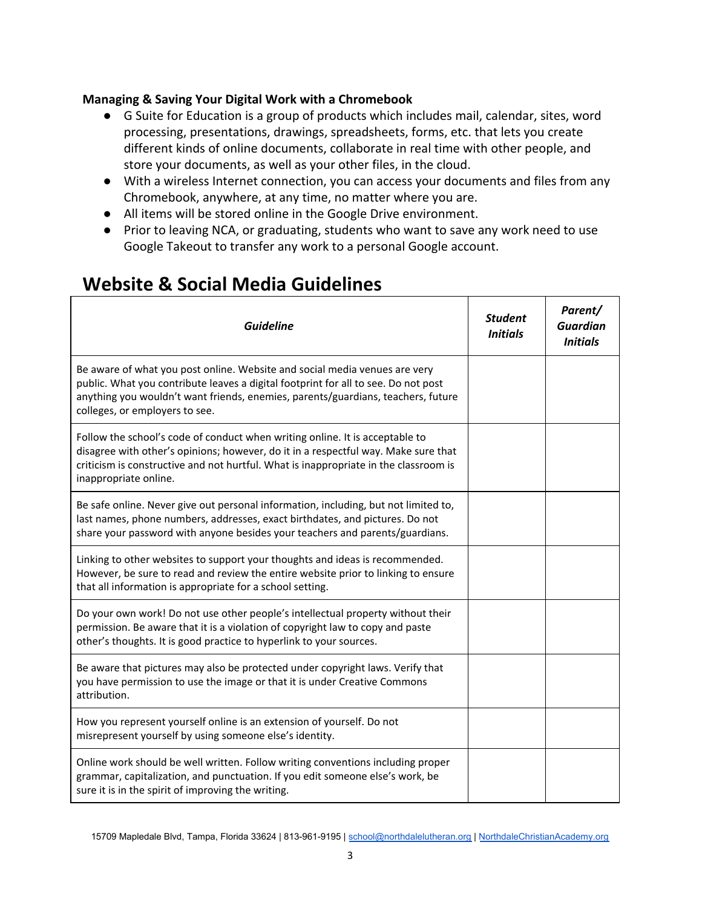#### **Managing & Saving Your Digital Work with a Chromebook**

- G Suite for Education is a group of products which includes mail, calendar, sites, word processing, presentations, drawings, spreadsheets, forms, etc. that lets you create different kinds of online documents, collaborate in real time with other people, and store your documents, as well as your other files, in the cloud.
- With a wireless Internet connection, you can access your documents and files from any Chromebook, anywhere, at any time, no matter where you are.
- All items will be stored online in the Google Drive environment.
- Prior to leaving NCA, or graduating, students who want to save any work need to use Google Takeout to transfer any work to a personal Google account.

### **Website & Social Media Guidelines**

| <b>Guideline</b>                                                                                                                                                                                                                                                                       | <b>Student</b><br><b>Initials</b> | Parent/<br><b>Guardian</b><br><b>Initials</b> |
|----------------------------------------------------------------------------------------------------------------------------------------------------------------------------------------------------------------------------------------------------------------------------------------|-----------------------------------|-----------------------------------------------|
| Be aware of what you post online. Website and social media venues are very<br>public. What you contribute leaves a digital footprint for all to see. Do not post<br>anything you wouldn't want friends, enemies, parents/guardians, teachers, future<br>colleges, or employers to see. |                                   |                                               |
| Follow the school's code of conduct when writing online. It is acceptable to<br>disagree with other's opinions; however, do it in a respectful way. Make sure that<br>criticism is constructive and not hurtful. What is inappropriate in the classroom is<br>inappropriate online.    |                                   |                                               |
| Be safe online. Never give out personal information, including, but not limited to,<br>last names, phone numbers, addresses, exact birthdates, and pictures. Do not<br>share your password with anyone besides your teachers and parents/guardians.                                    |                                   |                                               |
| Linking to other websites to support your thoughts and ideas is recommended.<br>However, be sure to read and review the entire website prior to linking to ensure<br>that all information is appropriate for a school setting.                                                         |                                   |                                               |
| Do your own work! Do not use other people's intellectual property without their<br>permission. Be aware that it is a violation of copyright law to copy and paste<br>other's thoughts. It is good practice to hyperlink to your sources.                                               |                                   |                                               |
| Be aware that pictures may also be protected under copyright laws. Verify that<br>you have permission to use the image or that it is under Creative Commons<br>attribution.                                                                                                            |                                   |                                               |
| How you represent yourself online is an extension of yourself. Do not<br>misrepresent yourself by using someone else's identity.                                                                                                                                                       |                                   |                                               |
| Online work should be well written. Follow writing conventions including proper<br>grammar, capitalization, and punctuation. If you edit someone else's work, be<br>sure it is in the spirit of improving the writing.                                                                 |                                   |                                               |